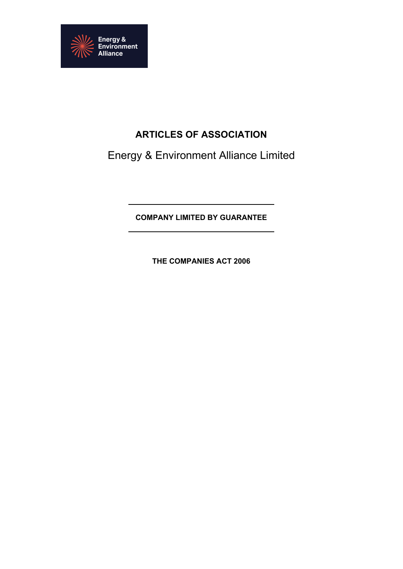

# **ARTICLES OF ASSOCIATION**

Energy & Environment Alliance Limited

**COMPANY LIMITED BY GUARANTEE**

**THE COMPANIES ACT 2006**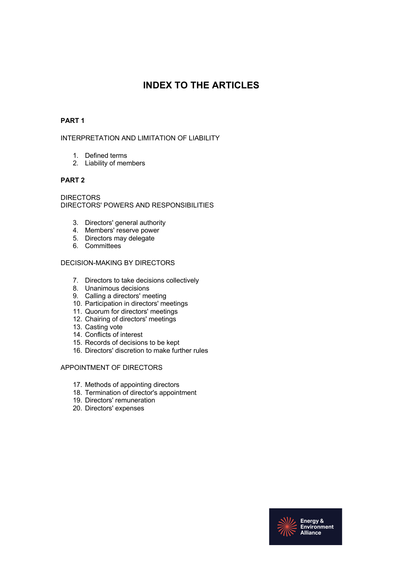# **INDEX TO THE ARTICLES**

## **PART 1**

## INTERPRETATION AND LIMITATION OF LIABILITY

- 1. Defined terms
- 2. Liability of members

## **PART 2**

DIRECTORS DIRECTORS' POWERS AND RESPONSIBILITIES

- 3. Directors' general authority
- 4. Members' reserve power
- 5. Directors may delegate
- 6. Committees

## DECISION-MAKING BY DIRECTORS

- 7. Directors to take decisions collectively
- 8. Unanimous decisions
- 9. Calling a directors' meeting
- 10. Participation in directors' meetings
- 11. Quorum for directors' meetings
- 12. Chairing of directors' meetings
- 13. Casting vote
- 14. Conflicts of interest
- 15. Records of decisions to be kept
- 16. Directors' discretion to make further rules

## APPOINTMENT OF DIRECTORS

- 17. Methods of appointing directors
- 18. Termination of director's appointment
- 19. Directors' remuneration
- 20. Directors' expenses

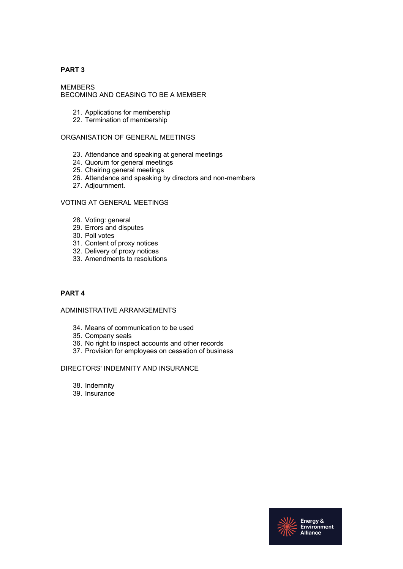## **PART 3**

MEMBERS BECOMING AND CEASING TO BE A MEMBER

- 21. Applications for membership
- 22. Termination of membership

## ORGANISATION OF GENERAL MEETINGS

- 23. Attendance and speaking at general meetings
- 24. Quorum for general meetings
- 25. Chairing general meetings
- 26. Attendance and speaking by directors and non-members
- 27. Adjournment.

#### VOTING AT GENERAL MEETINGS

- 28. Voting: general
- 29. Errors and disputes
- 30. Poll votes
- 31. Content of proxy notices
- 32. Delivery of proxy notices
- 33. Amendments to resolutions

## **PART 4**

## ADMINISTRATIVE ARRANGEMENTS

- 34. Means of communication to be used
- 35. Company seals
- 36. No right to inspect accounts and other records
- 37. Provision for employees on cessation of business

#### DIRECTORS' INDEMNITY AND INSURANCE

- 38. Indemnity
- 39. Insurance

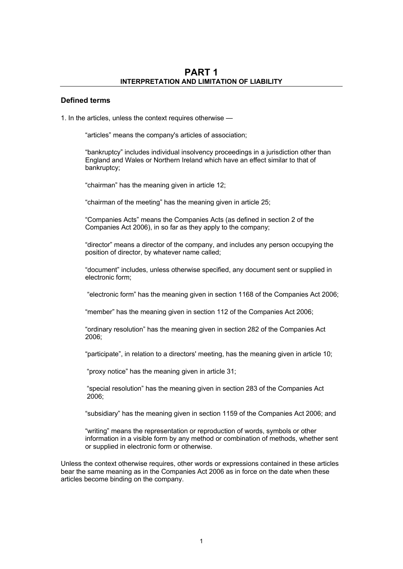## **Defined terms**

1. In the articles, unless the context requires otherwise —

"articles" means the company's articles of association;

"bankruptcy" includes individual insolvency proceedings in a jurisdiction other than England and Wales or Northern Ireland which have an effect similar to that of bankruptcy;

"chairman" has the meaning given in article 12;

"chairman of the meeting" has the meaning given in article 25;

"Companies Acts" means the Companies Acts (as defined in section 2 of the Companies Act 2006), in so far as they apply to the company;

"director" means a director of the company, and includes any person occupying the position of director, by whatever name called;

"document" includes, unless otherwise specified, any document sent or supplied in electronic form;

"electronic form" has the meaning given in section 1168 of the Companies Act 2006;

"member" has the meaning given in section 112 of the Companies Act 2006;

"ordinary resolution" has the meaning given in section 282 of the Companies Act 2006;

"participate", in relation to a directors' meeting, has the meaning given in article 10;

"proxy notice" has the meaning given in article 31;

"special resolution" has the meaning given in section 283 of the Companies Act 2006;

"subsidiary" has the meaning given in section 1159 of the Companies Act 2006; and

"writing" means the representation or reproduction of words, symbols or other information in a visible form by any method or combination of methods, whether sent or supplied in electronic form or otherwise.

Unless the context otherwise requires, other words or expressions contained in these articles bear the same meaning as in the Companies Act 2006 as in force on the date when these articles become binding on the company.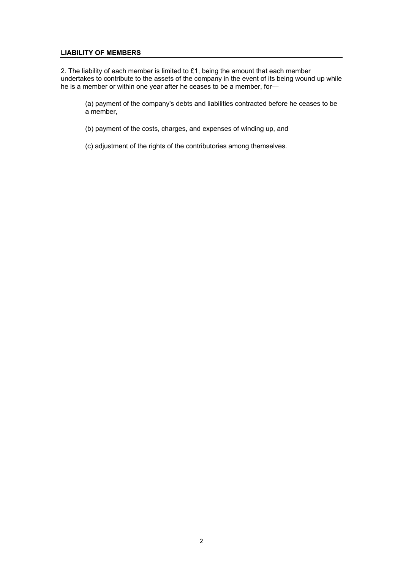## **LIABILITY OF MEMBERS**

2. The liability of each member is limited to £1, being the amount that each member undertakes to contribute to the assets of the company in the event of its being wound up while he is a member or within one year after he ceases to be a member, for—

(a) payment of the company's debts and liabilities contracted before he ceases to be a member,

(b) payment of the costs, charges, and expenses of winding up, and

(c) adjustment of the rights of the contributories among themselves.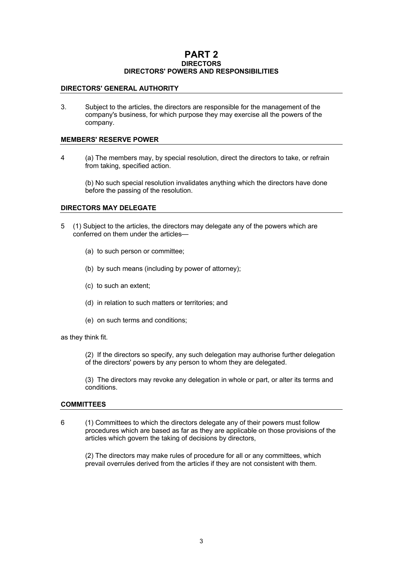## **PART 2 DIRECTORS DIRECTORS' POWERS AND RESPONSIBILITIES**

#### **DIRECTORS' GENERAL AUTHORITY**

3. Subject to the articles, the directors are responsible for the management of the company's business, for which purpose they may exercise all the powers of the company.

#### **MEMBERS' RESERVE POWER**

4 (a) The members may, by special resolution, direct the directors to take, or refrain from taking, specified action.

(b) No such special resolution invalidates anything which the directors have done before the passing of the resolution.

#### **DIRECTORS MAY DELEGATE**

- 5 (1) Subject to the articles, the directors may delegate any of the powers which are conferred on them under the articles-
	- (a) to such person or committee;
	- (b) by such means (including by power of attorney);
	- (c) to such an extent;
	- (d) in relation to such matters or territories; and
	- (e) on such terms and conditions;

as they think fit.

(2) If the directors so specify, any such delegation may authorise further delegation of the directors' powers by any person to whom they are delegated.

(3) The directors may revoke any delegation in whole or part, or alter its terms and conditions.

#### **COMMITTEES**

6 (1) Committees to which the directors delegate any of their powers must follow procedures which are based as far as they are applicable on those provisions of the articles which govern the taking of decisions by directors,

(2) The directors may make rules of procedure for all or any committees, which prevail overrules derived from the articles if they are not consistent with them.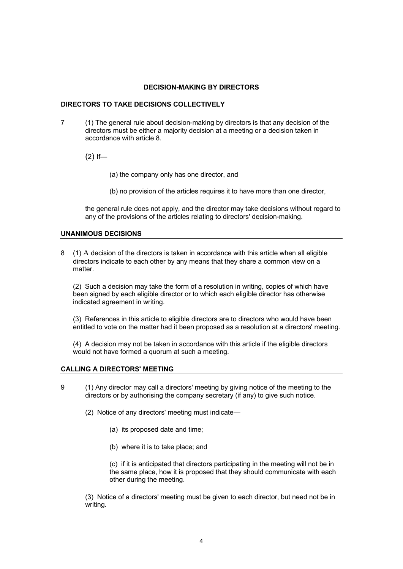#### **DECISION-MAKING BY DIRECTORS**

#### **DIRECTORS TO TAKE DECISIONS COLLECTIVELY**

7 (1) The general rule about decision-making by directors is that any decision of the directors must be either a majority decision at a meeting or a decision taken in accordance with article 8.

 $(2)$  If-

(a) the company only has one director, and

(b) no provision of the articles requires it to have more than one director,

the general rule does not apply, and the director may take decisions without regard to any of the provisions of the articles relating to directors' decision-making.

#### **UNANIMOUS DECISIONS**

8 (1) A decision of the directors is taken in accordance with this article when all eligible directors indicate to each other by any means that they share a common view on a matter.

(2) Such a decision may take the form of a resolution in writing, copies of which have been signed by each eligible director or to which each eligible director has otherwise indicated agreement in writing.

(3) References in this article to eligible directors are to directors who would have been entitled to vote on the matter had it been proposed as a resolution at a directors' meeting.

(4) A decision may not be taken in accordance with this article if the eligible directors would not have formed a quorum at such a meeting.

#### **CALLING A DIRECTORS' MEETING**

- 9 (1) Any director may call a directors' meeting by giving notice of the meeting to the directors or by authorising the company secretary (if any) to give such notice.
	- (2) Notice of any directors' meeting must indicate—
		- (a) its proposed date and time;
		- (b) where it is to take place; and

(c) if it is anticipated that directors participating in the meeting will not be in the same place, how it is proposed that they should communicate with each other during the meeting.

(3) Notice of a directors' meeting must be given to each director, but need not be in writing.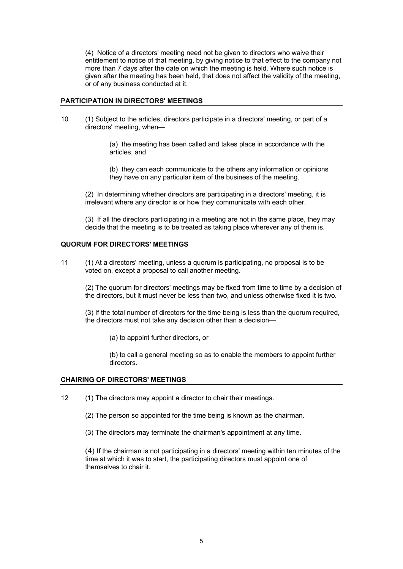(4) Notice of a directors' meeting need not be given to directors who waive their entitlement to notice of that meeting, by giving notice to that effect to the company not more than 7 days after the date on which the meeting is held. Where such notice is given after the meeting has been held, that does not affect the validity of the meeting, or of any business conducted at it.

#### **PARTICIPATION IN DIRECTORS' MEETINGS**

10 (1) Subject to the articles, directors participate in a directors' meeting, or part of a directors' meeting, when—

> (a) the meeting has been called and takes place in accordance with the articles, and

(b) they can each communicate to the others any information or opinions they have on any particular item of the business of the meeting.

(2) In determining whether directors are participating in a directors' meeting, it is irrelevant where any director is or how they communicate with each other.

(3) If all the directors participating in a meeting are not in the same place, they may decide that the meeting is to be treated as taking place wherever any of them is.

#### **QUORUM FOR DIRECTORS' MEETINGS**

11 (1) At a directors' meeting, unless a quorum is participating, no proposal is to be voted on, except a proposal to call another meeting.

(2) The quorum for directors' meetings may be fixed from time to time by a decision of the directors, but it must never be less than two, and unless otherwise fixed it is two.

(3) If the total number of directors for the time being is less than the quorum required, the directors must not take any decision other than a decision—

(a) to appoint further directors, or

(b) to call a general meeting so as to enable the members to appoint further directors.

#### **CHAIRING OF DIRECTORS' MEETINGS**

- 12 (1) The directors may appoint a director to chair their meetings.
	- (2) The person so appointed for the time being is known as the chairman.
	- (3) The directors may terminate the chairman's appointment at any time.

(4) If the chairman is not participating in a directors' meeting within ten minutes of the time at which it was to start, the participating directors must appoint one of themselves to chair it.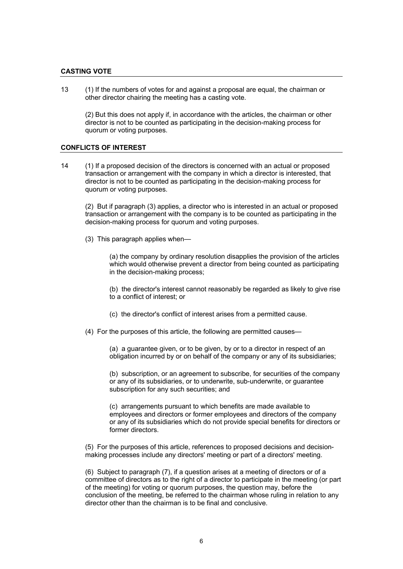#### **CASTING VOTE**

13 (1) If the numbers of votes for and against a proposal are equal, the chairman or other director chairing the meeting has a casting vote.

(2) But this does not apply if, in accordance with the articles, the chairman or other director is not to be counted as participating in the decision-making process for quorum or voting purposes.

#### **CONFLICTS OF INTEREST**

14 (1) If a proposed decision of the directors is concerned with an actual or proposed transaction or arrangement with the company in which a director is interested, that director is not to be counted as participating in the decision-making process for quorum or voting purposes.

(2) But if paragraph (3) applies, a director who is interested in an actual or proposed transaction or arrangement with the company is to be counted as participating in the decision-making process for quorum and voting purposes.

(3) This paragraph applies when—

(a) the company by ordinary resolution disapplies the provision of the articles which would otherwise prevent a director from being counted as participating in the decision-making process;

(b) the director's interest cannot reasonably be regarded as likely to give rise to a conflict of interest; or

(c) the director's conflict of interest arises from a permitted cause.

(4) For the purposes of this article, the following are permitted causes—

(a) a guarantee given, or to be given, by or to a director in respect of an obligation incurred by or on behalf of the company or any of its subsidiaries;

(b) subscription, or an agreement to subscribe, for securities of the company or any of its subsidiaries, or to underwrite, sub-underwrite, or guarantee subscription for any such securities; and

(c) arrangements pursuant to which benefits are made available to employees and directors or former employees and directors of the company or any of its subsidiaries which do not provide special benefits for directors or former directors.

(5) For the purposes of this article, references to proposed decisions and decisionmaking processes include any directors' meeting or part of a directors' meeting.

(6) Subject to paragraph (7), if a question arises at a meeting of directors or of a committee of directors as to the right of a director to participate in the meeting (or part of the meeting) for voting or quorum purposes, the question may, before the conclusion of the meeting, be referred to the chairman whose ruling in relation to any director other than the chairman is to be final and conclusive.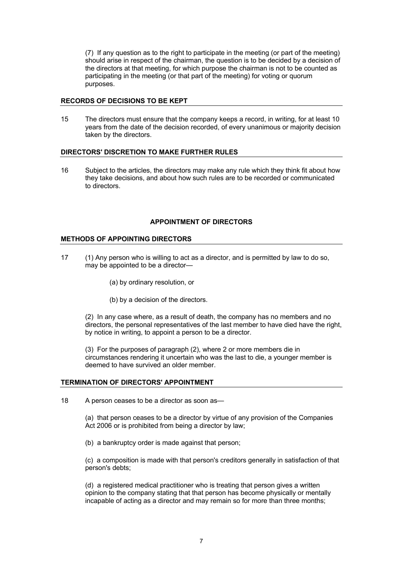(7) If any question as to the right to participate in the meeting (or part of the meeting) should arise in respect of the chairman, the question is to be decided by a decision of the directors at that meeting, for which purpose the chairman is not to be counted as participating in the meeting (or that part of the meeting) for voting or quorum purposes.

#### **RECORDS OF DECISIONS TO BE KEPT**

15 The directors must ensure that the company keeps a record, in writing, for at least 10 years from the date of the decision recorded, of every unanimous or majority decision taken by the directors.

## **DIRECTORS' DISCRETION TO MAKE FURTHER RULES**

16 Subject to the articles, the directors may make any rule which they think fit about how they take decisions, and about how such rules are to be recorded or communicated to directors.

## **APPOINTMENT OF DIRECTORS**

## **METHODS OF APPOINTING DIRECTORS**

- 17 (1) Any person who is willing to act as a director, and is permitted by law to do so, may be appointed to be a director—
	- (a) by ordinary resolution, or
	- (b) by a decision of the directors.

(2) In any case where, as a result of death, the company has no members and no directors, the personal representatives of the last member to have died have the right, by notice in writing, to appoint a person to be a director.

(3) For the purposes of paragraph (2), where 2 or more members die in circumstances rendering it uncertain who was the last to die, a younger member is deemed to have survived an older member.

#### **TERMINATION OF DIRECTORS' APPOINTMENT**

18 A person ceases to be a director as soon as—

(a) that person ceases to be a director by virtue of any provision of the Companies Act 2006 or is prohibited from being a director by law;

(b) a bankruptcy order is made against that person;

(c) a composition is made with that person's creditors generally in satisfaction of that person's debts;

(d) a registered medical practitioner who is treating that person gives a written opinion to the company stating that that person has become physically or mentally incapable of acting as a director and may remain so for more than three months;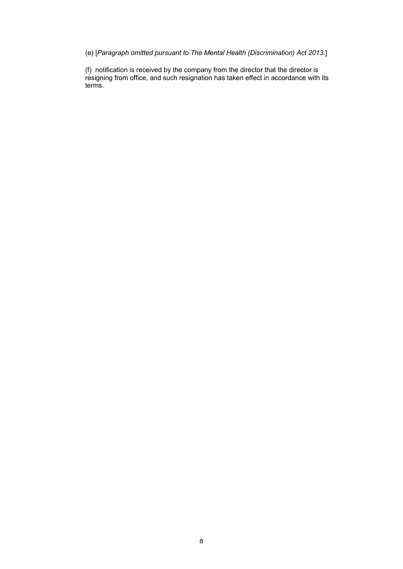(e) [*Paragraph omitted pursuant to The Mental Health (Discrimination) Act 2013.*]

(f) notification is received by the company from the director that the director is resigning from office, and such resignation has taken effect in accordance with its terms.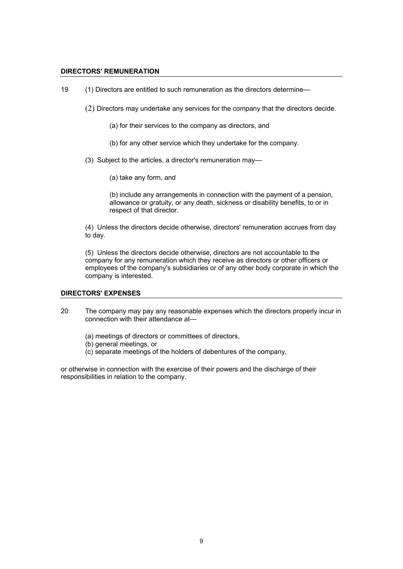#### **DIRECTORS' REMUNERATION**

- 19 (1) Directors are entitled to such remuneration as the directors determine—
	- (2) Directors may undertake any services for the company that the directors decide.
		- (a) for their services to the company as directors, and
		- (b) for any other service which they undertake for the company.
	- (3) Subject to the articles, a director's remuneration may—
		- (a) take any form, and

(b) include any arrangements in connection with the payment of a pension, allowance or gratuity, or any death, sickness or disability benefits, to or in respect of that director.

(4) Unless the directors decide otherwise, directors' remuneration accrues from day to day.

(5) Unless the directors decide otherwise, directors are not accountable to the company for any remuneration which they receive as directors or other officers or employees of the company's subsidiaries or of any other body corporate in which the company is interested.

#### **DIRECTORS' EXPENSES**

- 20 The company may pay any reasonable expenses which the directors properly incur in connection with their attendance at—
	- (a) meetings of directors or committees of directors,
	- (b) general meetings, or
	- (c) separate meetings of the holders of debentures of the company,

or otherwise in connection with the exercise of their powers and the discharge of their responsibilities in relation to the company.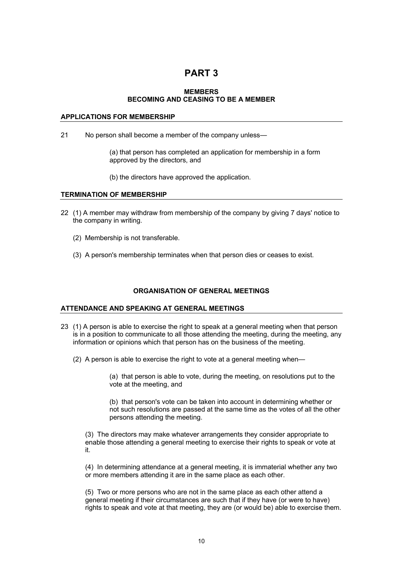## **PART 3**

#### **MEMBERS BECOMING AND CEASING TO BE A MEMBER**

## **APPLICATIONS FOR MEMBERSHIP**

21 No person shall become a member of the company unless—

(a) that person has completed an application for membership in a form approved by the directors, and

(b) the directors have approved the application.

#### **TERMINATION OF MEMBERSHIP**

- 22 (1) A member may withdraw from membership of the company by giving 7 days' notice to the company in writing.
	- (2) Membership is not transferable.
	- (3) A person's membership terminates when that person dies or ceases to exist.

## **ORGANISATION OF GENERAL MEETINGS**

#### **ATTENDANCE AND SPEAKING AT GENERAL MEETINGS**

- 23 (1) A person is able to exercise the right to speak at a general meeting when that person is in a position to communicate to all those attending the meeting, during the meeting, any information or opinions which that person has on the business of the meeting.
	- (2) A person is able to exercise the right to vote at a general meeting when—

(a) that person is able to vote, during the meeting, on resolutions put to the vote at the meeting, and

(b) that person's vote can be taken into account in determining whether or not such resolutions are passed at the same time as the votes of all the other persons attending the meeting.

(3) The directors may make whatever arrangements they consider appropriate to enable those attending a general meeting to exercise their rights to speak or vote at it.

(4) In determining attendance at a general meeting, it is immaterial whether any two or more members attending it are in the same place as each other.

(5) Two or more persons who are not in the same place as each other attend a general meeting if their circumstances are such that if they have (or were to have) rights to speak and vote at that meeting, they are (or would be) able to exercise them.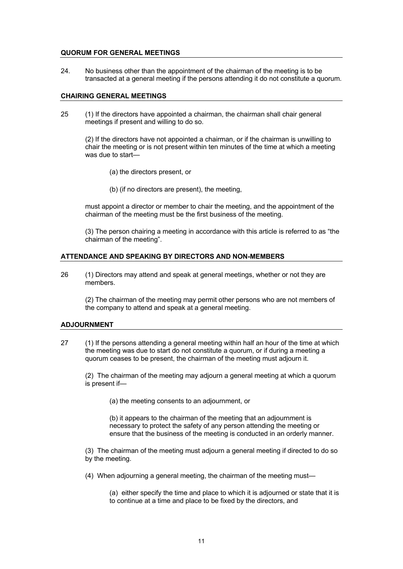#### **QUORUM FOR GENERAL MEETINGS**

24. No business other than the appointment of the chairman of the meeting is to be transacted at a general meeting if the persons attending it do not constitute a quorum.

#### **CHAIRING GENERAL MEETINGS**

25 (1) If the directors have appointed a chairman, the chairman shall chair general meetings if present and willing to do so.

(2) If the directors have not appointed a chairman, or if the chairman is unwilling to chair the meeting or is not present within ten minutes of the time at which a meeting was due to start—

- (a) the directors present, or
- (b) (if no directors are present), the meeting,

must appoint a director or member to chair the meeting, and the appointment of the chairman of the meeting must be the first business of the meeting.

(3) The person chairing a meeting in accordance with this article is referred to as "the chairman of the meeting".

#### **ATTENDANCE AND SPEAKING BY DIRECTORS AND NON-MEMBERS**

26 (1) Directors may attend and speak at general meetings, whether or not they are members.

(2) The chairman of the meeting may permit other persons who are not members of the company to attend and speak at a general meeting.

#### **ADJOURNMENT**

27 (1) If the persons attending a general meeting within half an hour of the time at which the meeting was due to start do not constitute a quorum, or if during a meeting a quorum ceases to be present, the chairman of the meeting must adjourn it.

(2) The chairman of the meeting may adjourn a general meeting at which a quorum is present if—

(a) the meeting consents to an adjournment, or

(b) it appears to the chairman of the meeting that an adjournment is necessary to protect the safety of any person attending the meeting or ensure that the business of the meeting is conducted in an orderly manner.

(3) The chairman of the meeting must adjourn a general meeting if directed to do so by the meeting.

(4) When adjourning a general meeting, the chairman of the meeting must—

(a) either specify the time and place to which it is adjourned or state that it is to continue at a time and place to be fixed by the directors, and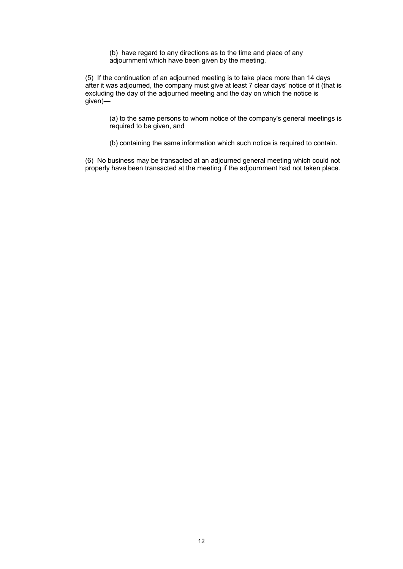(b) have regard to any directions as to the time and place of any adjournment which have been given by the meeting.

(5) If the continuation of an adjourned meeting is to take place more than 14 days after it was adjourned, the company must give at least 7 clear days' notice of it (that is excluding the day of the adjourned meeting and the day on which the notice is given)—

(a) to the same persons to whom notice of the company's general meetings is required to be given, and

(b) containing the same information which such notice is required to contain.

(6) No business may be transacted at an adjourned general meeting which could not properly have been transacted at the meeting if the adjournment had not taken place.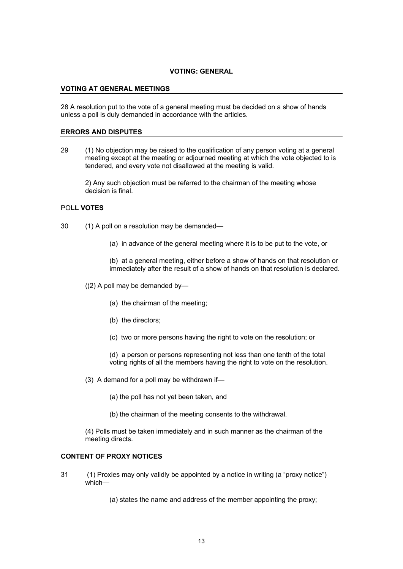## **VOTING: GENERAL**

#### **VOTING AT GENERAL MEETINGS**

28 A resolution put to the vote of a general meeting must be decided on a show of hands unless a poll is duly demanded in accordance with the articles.

#### **ERRORS AND DISPUTES**

29 (1) No objection may be raised to the qualification of any person voting at a general meeting except at the meeting or adjourned meeting at which the vote objected to is tendered, and every vote not disallowed at the meeting is valid.

2) Any such objection must be referred to the chairman of the meeting whose decision is final.

#### PO**LL VOTES**

- 30 (1) A poll on a resolution may be demanded—
	- (a) in advance of the general meeting where it is to be put to the vote, or

(b) at a general meeting, either before a show of hands on that resolution or immediately after the result of a show of hands on that resolution is declared.

- ((2) A poll may be demanded by—
	- (a) the chairman of the meeting;
	- (b) the directors;
	- (c) two or more persons having the right to vote on the resolution; or

(d) a person or persons representing not less than one tenth of the total voting rights of all the members having the right to vote on the resolution.

- (3) A demand for a poll may be withdrawn if—
	- (a) the poll has not yet been taken, and
	- (b) the chairman of the meeting consents to the withdrawal.

(4) Polls must be taken immediately and in such manner as the chairman of the meeting directs.

#### **CONTENT OF PROXY NOTICES**

- 31 (1) Proxies may only validly be appointed by a notice in writing (a "proxy notice") which—
	- (a) states the name and address of the member appointing the proxy;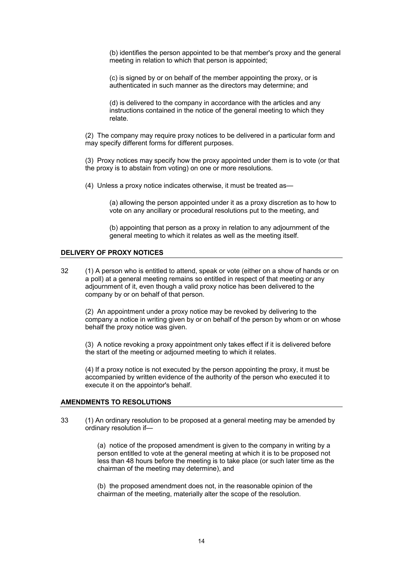(b) identifies the person appointed to be that member's proxy and the general meeting in relation to which that person is appointed;

(c) is signed by or on behalf of the member appointing the proxy, or is authenticated in such manner as the directors may determine; and

(d) is delivered to the company in accordance with the articles and any instructions contained in the notice of the general meeting to which they relate.

(2) The company may require proxy notices to be delivered in a particular form and may specify different forms for different purposes.

(3) Proxy notices may specify how the proxy appointed under them is to vote (or that the proxy is to abstain from voting) on one or more resolutions.

(4) Unless a proxy notice indicates otherwise, it must be treated as—

(a) allowing the person appointed under it as a proxy discretion as to how to vote on any ancillary or procedural resolutions put to the meeting, and

(b) appointing that person as a proxy in relation to any adjournment of the general meeting to which it relates as well as the meeting itself.

#### **DELIVERY OF PROXY NOTICES**

32 (1) A person who is entitled to attend, speak or vote (either on a show of hands or on a poll) at a general meeting remains so entitled in respect of that meeting or any adjournment of it, even though a valid proxy notice has been delivered to the company by or on behalf of that person.

(2) An appointment under a proxy notice may be revoked by delivering to the company a notice in writing given by or on behalf of the person by whom or on whose behalf the proxy notice was given.

(3) A notice revoking a proxy appointment only takes effect if it is delivered before the start of the meeting or adjourned meeting to which it relates.

(4) If a proxy notice is not executed by the person appointing the proxy, it must be accompanied by written evidence of the authority of the person who executed it to execute it on the appointor's behalf.

#### **AMENDMENTS TO RESOLUTIONS**

33 (1) An ordinary resolution to be proposed at a general meeting may be amended by ordinary resolution if—

> (a) notice of the proposed amendment is given to the company in writing by a person entitled to vote at the general meeting at which it is to be proposed not less than 48 hours before the meeting is to take place (or such later time as the chairman of the meeting may determine), and

(b) the proposed amendment does not, in the reasonable opinion of the chairman of the meeting, materially alter the scope of the resolution.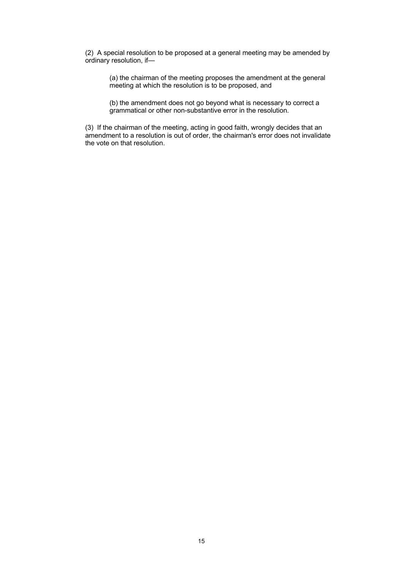(2) A special resolution to be proposed at a general meeting may be amended by ordinary resolution, if—

(a) the chairman of the meeting proposes the amendment at the general meeting at which the resolution is to be proposed, and

(b) the amendment does not go beyond what is necessary to correct a grammatical or other non-substantive error in the resolution.

(3) If the chairman of the meeting, acting in good faith, wrongly decides that an amendment to a resolution is out of order, the chairman's error does not invalidate the vote on that resolution.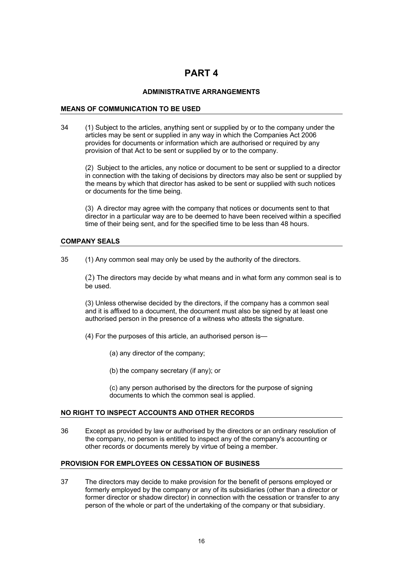# **PART 4**

## **ADMINISTRATIVE ARRANGEMENTS**

## **MEANS OF COMMUNICATION TO BE USED**

34 (1) Subject to the articles, anything sent or supplied by or to the company under the articles may be sent or supplied in any way in which the Companies Act 2006 provides for documents or information which are authorised or required by any provision of that Act to be sent or supplied by or to the company.

(2) Subject to the articles, any notice or document to be sent or supplied to a director in connection with the taking of decisions by directors may also be sent or supplied by the means by which that director has asked to be sent or supplied with such notices or documents for the time being.

(3) A director may agree with the company that notices or documents sent to that director in a particular way are to be deemed to have been received within a specified time of their being sent, and for the specified time to be less than 48 hours.

#### **COMPANY SEALS**

35 (1) Any common seal may only be used by the authority of the directors.

(2) The directors may decide by what means and in what form any common seal is to be used.

(3) Unless otherwise decided by the directors, if the company has a common seal and it is affixed to a document, the document must also be signed by at least one authorised person in the presence of a witness who attests the signature.

(4) For the purposes of this article, an authorised person is—

- (a) any director of the company;
- (b) the company secretary (if any); or

(c) any person authorised by the directors for the purpose of signing documents to which the common seal is applied.

#### **NO RIGHT TO INSPECT ACCOUNTS AND OTHER RECORDS**

36 Except as provided by law or authorised by the directors or an ordinary resolution of the company, no person is entitled to inspect any of the company's accounting or other records or documents merely by virtue of being a member.

#### **PROVISION FOR EMPLOYEES ON CESSATION OF BUSINESS**

37 The directors may decide to make provision for the benefit of persons employed or formerly employed by the company or any of its subsidiaries (other than a director or former director or shadow director) in connection with the cessation or transfer to any person of the whole or part of the undertaking of the company or that subsidiary.